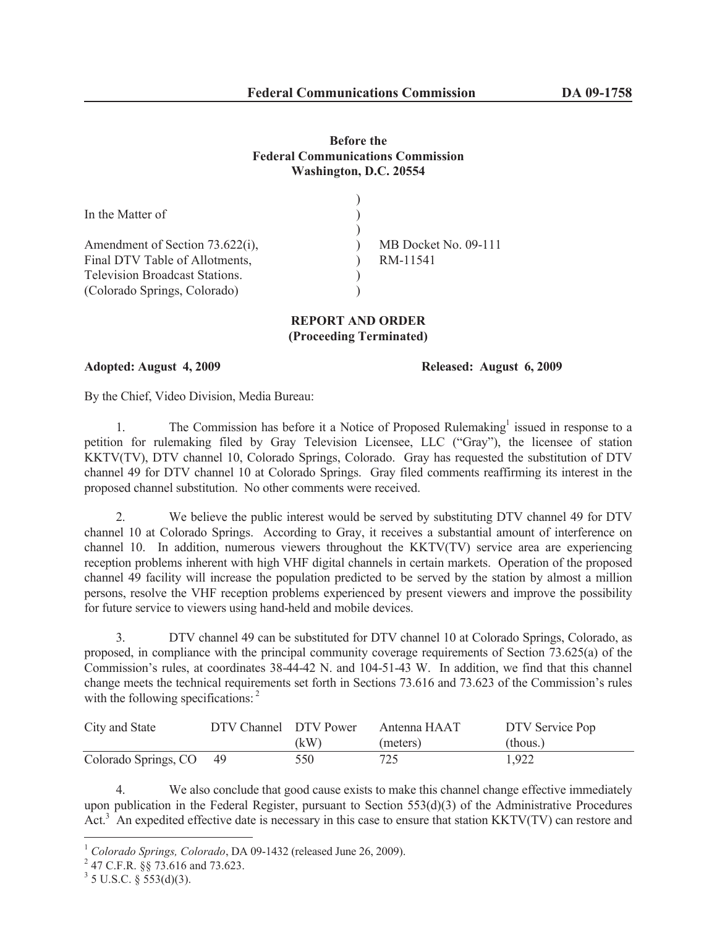## **Before the Federal Communications Commission Washington, D.C. 20554**

| In the Matter of                      |                      |
|---------------------------------------|----------------------|
| Amendment of Section 73.622(i),       | MB Docket No. 09-111 |
| Final DTV Table of Allotments,        | RM-11541             |
| <b>Television Broadcast Stations.</b> |                      |
| (Colorado Springs, Colorado)          |                      |

## **REPORT AND ORDER (Proceeding Terminated)**

**Adopted: August 4, 2009 Released: August 6, 2009**

By the Chief, Video Division, Media Bureau:

1. The Commission has before it a Notice of Proposed Rulemaking<sup>1</sup> issued in response to a petition for rulemaking filed by Gray Television Licensee, LLC ("Gray"), the licensee of station KKTV(TV), DTV channel 10, Colorado Springs, Colorado. Gray has requested the substitution of DTV channel 49 for DTV channel 10 at Colorado Springs. Gray filed comments reaffirming its interest in the proposed channel substitution. No other comments were received.

2. We believe the public interest would be served by substituting DTV channel 49 for DTV channel 10 at Colorado Springs. According to Gray, it receives a substantial amount of interference on channel 10. In addition, numerous viewers throughout the KKTV(TV) service area are experiencing reception problems inherent with high VHF digital channels in certain markets. Operation of the proposed channel 49 facility will increase the population predicted to be served by the station by almost a million persons, resolve the VHF reception problems experienced by present viewers and improve the possibility for future service to viewers using hand-held and mobile devices.

3. DTV channel 49 can be substituted for DTV channel 10 at Colorado Springs, Colorado, as proposed, in compliance with the principal community coverage requirements of Section 73.625(a) of the Commission's rules, at coordinates 38-44-42 N. and 104-51-43 W. In addition, we find that this channel change meets the technical requirements set forth in Sections 73.616 and 73.623 of the Commission's rules with the following specifications: <sup>2</sup>

| City and State       | DTV Channel DTV Power |      | Antenna HAAT | DTV Service Pop |
|----------------------|-----------------------|------|--------------|-----------------|
|                      |                       | (kW) | (meters)     | (hous.)         |
| Colorado Springs, CO | - 49                  | 550  | 725          | 1,922           |

4. We also conclude that good cause exists to make this channel change effective immediately upon publication in the Federal Register, pursuant to Section 553(d)(3) of the Administrative Procedures Act.<sup>3</sup> An expedited effective date is necessary in this case to ensure that station KKTV(TV) can restore and

<sup>1</sup> *Colorado Springs, Colorado*, DA 09-1432 (released June 26, 2009).

<sup>&</sup>lt;sup>2</sup> 47 C.F.R. §§ 73.616 and 73.623.

 $3$  5 U.S.C. § 553(d)(3).